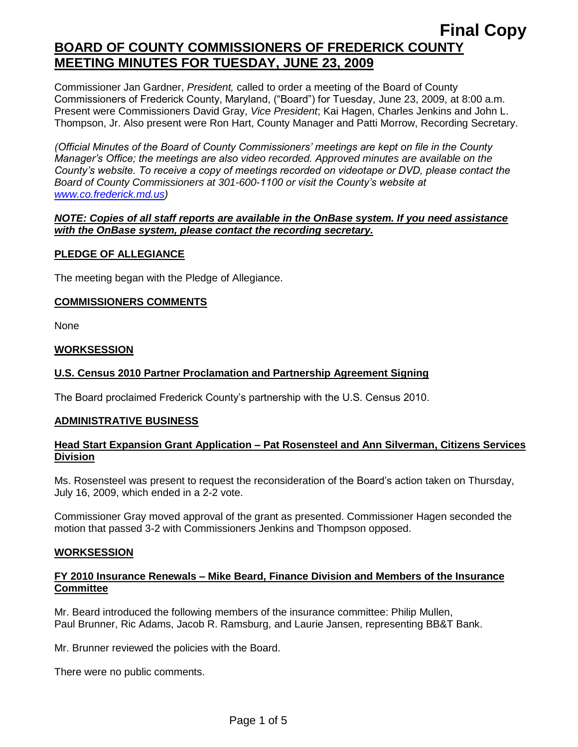## **BOARD OF COUNTY COMMISSIONERS OF FREDERICK COUNTY MEETING MINUTES FOR TUESDAY, JUNE 23, 2009**

Commissioner Jan Gardner, *President,* called to order a meeting of the Board of County Commissioners of Frederick County, Maryland, ("Board") for Tuesday, June 23, 2009, at 8:00 a.m. Present were Commissioners David Gray, *Vice President*; Kai Hagen, Charles Jenkins and John L. Thompson, Jr. Also present were Ron Hart, County Manager and Patti Morrow, Recording Secretary.

*(Official Minutes of the Board of County Commissioners' meetings are kept on file in the County Manager's Office; the meetings are also video recorded. Approved minutes are available on the County's website. To receive a copy of meetings recorded on videotape or DVD, please contact the Board of County Commissioners at 301-600-1100 or visit the County's website at [www.co.frederick.md.us\)](http://www.co.frederick.md.us/)*

## *NOTE: Copies of all staff reports are available in the OnBase system. If you need assistance with the OnBase system, please contact the recording secretary.*

## **PLEDGE OF ALLEGIANCE**

The meeting began with the Pledge of Allegiance.

### **COMMISSIONERS COMMENTS**

None

### **WORKSESSION**

## **U.S. Census 2010 Partner Proclamation and Partnership Agreement Signing**

The Board proclaimed Frederick County's partnership with the U.S. Census 2010.

#### **ADMINISTRATIVE BUSINESS**

## **Head Start Expansion Grant Application – Pat Rosensteel and Ann Silverman, Citizens Services Division**

Ms. Rosensteel was present to request the reconsideration of the Board's action taken on Thursday, July 16, 2009, which ended in a 2-2 vote.

Commissioner Gray moved approval of the grant as presented. Commissioner Hagen seconded the motion that passed 3-2 with Commissioners Jenkins and Thompson opposed.

#### **WORKSESSION**

### **FY 2010 Insurance Renewals – Mike Beard, Finance Division and Members of the Insurance Committee**

Mr. Beard introduced the following members of the insurance committee: Philip Mullen, Paul Brunner, Ric Adams, Jacob R. Ramsburg, and Laurie Jansen, representing BB&T Bank.

Mr. Brunner reviewed the policies with the Board.

There were no public comments.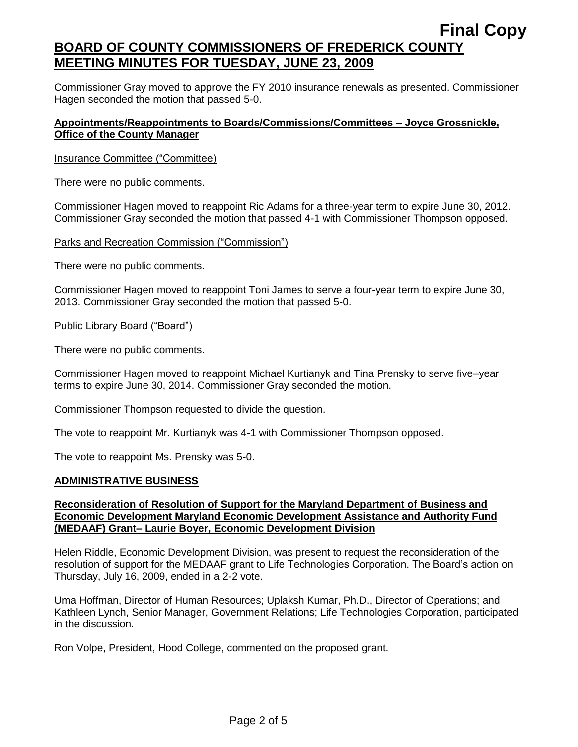# **Final Copy BOARD OF COUNTY COMMISSIONERS OF FREDERICK COUNTY MEETING MINUTES FOR TUESDAY, JUNE 23, 2009**

Commissioner Gray moved to approve the FY 2010 insurance renewals as presented. Commissioner Hagen seconded the motion that passed 5-0.

## **Appointments/Reappointments to Boards/Commissions/Committees – Joyce Grossnickle, Office of the County Manager**

#### Insurance Committee ("Committee)

There were no public comments.

Commissioner Hagen moved to reappoint Ric Adams for a three-year term to expire June 30, 2012. Commissioner Gray seconded the motion that passed 4-1 with Commissioner Thompson opposed.

#### Parks and Recreation Commission ("Commission")

There were no public comments.

Commissioner Hagen moved to reappoint Toni James to serve a four-year term to expire June 30, 2013. Commissioner Gray seconded the motion that passed 5-0.

#### Public Library Board ("Board")

There were no public comments.

Commissioner Hagen moved to reappoint Michael Kurtianyk and Tina Prensky to serve five–year terms to expire June 30, 2014. Commissioner Gray seconded the motion.

Commissioner Thompson requested to divide the question.

The vote to reappoint Mr. Kurtianyk was 4-1 with Commissioner Thompson opposed.

The vote to reappoint Ms. Prensky was 5-0.

#### **ADMINISTRATIVE BUSINESS**

#### **Reconsideration of Resolution of Support for the Maryland Department of Business and Economic Development Maryland Economic Development Assistance and Authority Fund (MEDAAF) Grant– Laurie Boyer, Economic Development Division**

Helen Riddle, Economic Development Division, was present to request the reconsideration of the resolution of support for the MEDAAF grant to Life Technologies Corporation. The Board's action on Thursday, July 16, 2009, ended in a 2-2 vote.

Uma Hoffman, Director of Human Resources; Uplaksh Kumar, Ph.D., Director of Operations; and Kathleen Lynch, Senior Manager, Government Relations; Life Technologies Corporation, participated in the discussion.

Ron Volpe, President, Hood College, commented on the proposed grant.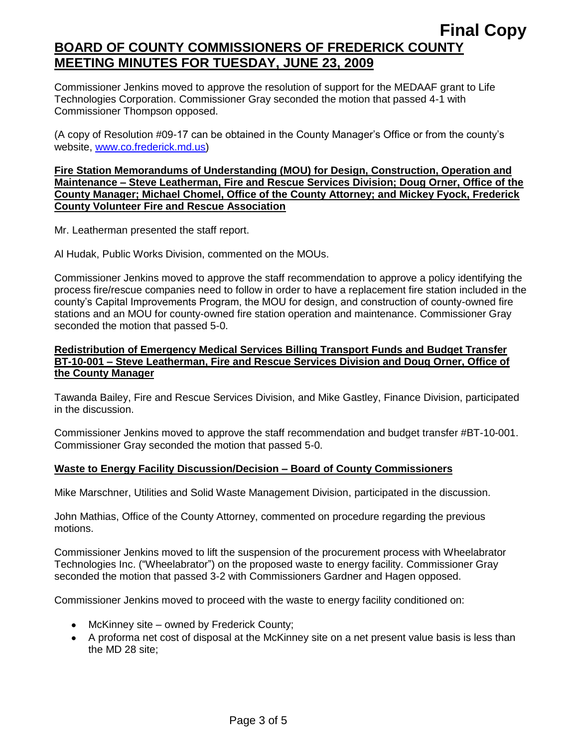## **BOARD OF COUNTY COMMISSIONERS OF FREDERICK COUNTY MEETING MINUTES FOR TUESDAY, JUNE 23, 2009**

Commissioner Jenkins moved to approve the resolution of support for the MEDAAF grant to Life Technologies Corporation. Commissioner Gray seconded the motion that passed 4-1 with Commissioner Thompson opposed.

(A copy of Resolution #09-17 can be obtained in the County Manager's Office or from the county's website, [www.co.frederick.md.us\)](www.co.frederick.md.us)

## **Fire Station Memorandums of Understanding (MOU) for Design, Construction, Operation and Maintenance – Steve Leatherman, Fire and Rescue Services Division; Doug Orner, Office of the County Manager; Michael Chomel, Office of the County Attorney; and Mickey Fyock, Frederick County Volunteer Fire and Rescue Association**

Mr. Leatherman presented the staff report.

Al Hudak, Public Works Division, commented on the MOUs.

Commissioner Jenkins moved to approve the staff recommendation to approve a policy identifying the process fire/rescue companies need to follow in order to have a replacement fire station included in the county's Capital Improvements Program, the MOU for design, and construction of county-owned fire stations and an MOU for county-owned fire station operation and maintenance. Commissioner Gray seconded the motion that passed 5-0.

## **Redistribution of Emergency Medical Services Billing Transport Funds and Budget Transfer BT-10-001 – Steve Leatherman, Fire and Rescue Services Division and Doug Orner, Office of the County Manager**

Tawanda Bailey, Fire and Rescue Services Division, and Mike Gastley, Finance Division, participated in the discussion.

Commissioner Jenkins moved to approve the staff recommendation and budget transfer #BT-10-001. Commissioner Gray seconded the motion that passed 5-0.

## **Waste to Energy Facility Discussion/Decision – Board of County Commissioners**

Mike Marschner, Utilities and Solid Waste Management Division, participated in the discussion.

John Mathias, Office of the County Attorney, commented on procedure regarding the previous motions.

Commissioner Jenkins moved to lift the suspension of the procurement process with Wheelabrator Technologies Inc. ("Wheelabrator") on the proposed waste to energy facility. Commissioner Gray seconded the motion that passed 3-2 with Commissioners Gardner and Hagen opposed.

Commissioner Jenkins moved to proceed with the waste to energy facility conditioned on:

- McKinney site owned by Frederick County;
- A proforma net cost of disposal at the McKinney site on a net present value basis is less than the MD 28 site;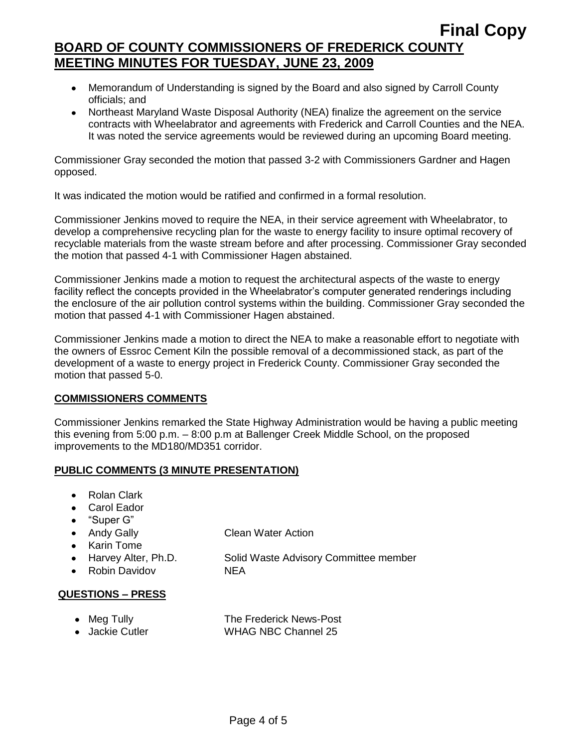# **Final Copy BOARD OF COUNTY COMMISSIONERS OF FREDERICK COUNTY MEETING MINUTES FOR TUESDAY, JUNE 23, 2009**

- Memorandum of Understanding is signed by the Board and also signed by Carroll County officials; and
- Northeast Maryland Waste Disposal Authority (NEA) finalize the agreement on the service contracts with Wheelabrator and agreements with Frederick and Carroll Counties and the NEA. It was noted the service agreements would be reviewed during an upcoming Board meeting.

Commissioner Gray seconded the motion that passed 3-2 with Commissioners Gardner and Hagen opposed.

It was indicated the motion would be ratified and confirmed in a formal resolution.

Commissioner Jenkins moved to require the NEA, in their service agreement with Wheelabrator, to develop a comprehensive recycling plan for the waste to energy facility to insure optimal recovery of recyclable materials from the waste stream before and after processing. Commissioner Gray seconded the motion that passed 4-1 with Commissioner Hagen abstained.

Commissioner Jenkins made a motion to request the architectural aspects of the waste to energy facility reflect the concepts provided in the Wheelabrator's computer generated renderings including the enclosure of the air pollution control systems within the building. Commissioner Gray seconded the motion that passed 4-1 with Commissioner Hagen abstained.

Commissioner Jenkins made a motion to direct the NEA to make a reasonable effort to negotiate with the owners of Essroc Cement Kiln the possible removal of a decommissioned stack, as part of the development of a waste to energy project in Frederick County. Commissioner Gray seconded the motion that passed 5-0.

## **COMMISSIONERS COMMENTS**

Commissioner Jenkins remarked the State Highway Administration would be having a public meeting this evening from 5:00 p.m. – 8:00 p.m at Ballenger Creek Middle School, on the proposed improvements to the MD180/MD351 corridor.

## **PUBLIC COMMENTS (3 MINUTE PRESENTATION)**

- Rolan Clark
- Carol Eador
- "Super G"
- Andy Gally Clean Water Action
- Karin Tome
- 
- Robin Davidov NEA

Harvey Alter, Ph.D. Solid Waste Advisory Committee member

## **QUESTIONS – PRESS**

• Meg Tully **The Frederick News-Post** • Jackie Cutler WHAG NBC Channel 25